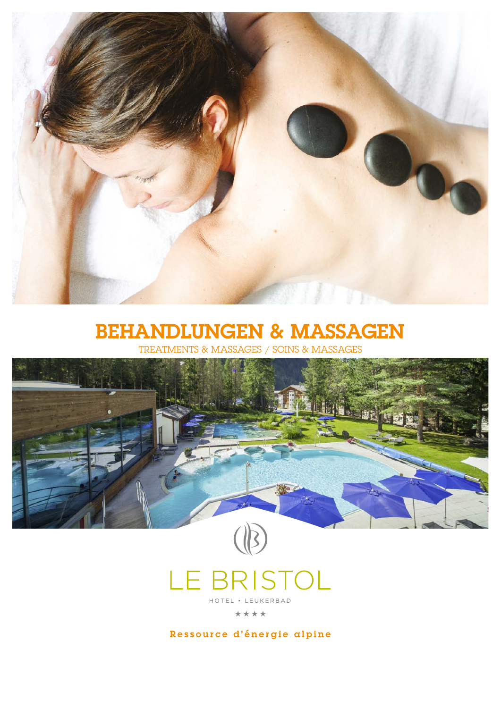

# **BEHANDLUNGEN & MASSAGEN**<br>TREATMENTS & MASSAGES / SOINS & MASSAGES

TREATMENTS & MASSAGES





\*\*\*\*

Ressource d'énergie alpine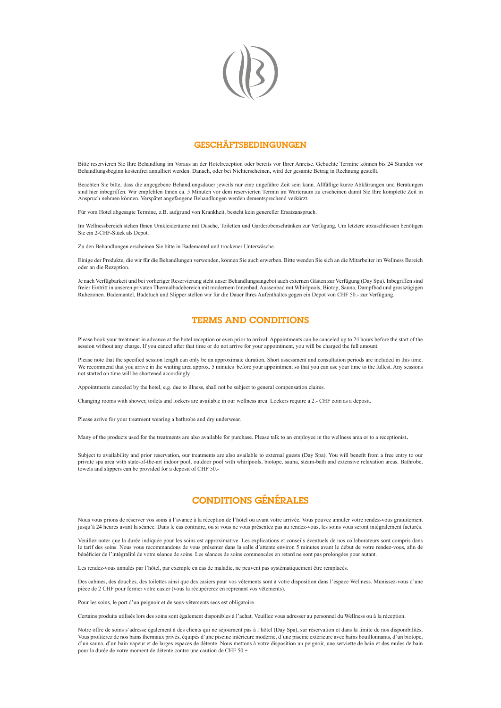

#### **GESCHÄFTSBEDINGUNGEN**

Bitte reservieren Sie Ihre Behandlung im Voraus an der Hotelrezeption oder bereits vor Ihrer Anreise. Gebuchte Termine können bis 24 Stunden vor Behandlungsbeginn kostenfrei annulliert werden. Danach, oder bei Nichterscheinen, wird der gesamte Betrag in Rechnung gestellt.

Beachten Sie bitte, dass die angegebene Behandlungsdauer jeweils nur eine ungefähre Zeit sein kann. Allfällige kurze Abklärungen und Beratungen sind hier inbegriffen. Wir empfehlen Ihnen ca. 5 Minuten vor dem reservierten Termin im Warteraum zu erscheinen damit Sie Ihre komplette Zeit in Anspruch nehmen können. Verspätet angefangene Behandlungen werden dementsprechend verkürzt.

Für vom Hotel abgesagte Termine, z.B. aufgrund von Krankheit, besteht kein genereller Ersatzanspruch.

Im Wellnessbereich stehen Ihnen Umkleideräume mit Dusche, Toiletten und Garderobenschränken zur Verfügung. Um letztere abzuschliessen benötigen Sie ein 2-CHF-Stück als Depot.

Zu den Behandlungen erscheinen Sie bitte in Bademantel und trockener Unterwäsche.

Einige der Produkte, die wir für die Behandlungen verwenden, können Sie auch erwerben. Bitte wenden Sie sich an die Mitarbeiter im Wellness Bereich oder an die Rezeption.

Je nach Verfügbarkeit und bei vorheriger Reservierung steht unser Behandlungsangebot auch externen Gästen zur Verfügung (Day Spa). Inbegriffen sind freier Eintritt in unseren privaten Thermalbadebereich mit modernem Innenbad, Aussenbad mit Whirlpools, Biotop, Sauna, Dampfbad und grosszügigen Ruhezonen. Bademantel, Badetuch und Slipper stellen wir für die Dauer Ihres Aufenthaltes gegen ein Depot von CHF 50.- zur Verfügung.

#### TERMS AND CONDITIONS

Please book your treatment in advance at the hotel reception or even prior to arrival. Appointments can be canceled up to 24 hours before the start of the session without any charge. If you cancel after that time or do not arrive for your appointment, you will be charged the full amount.

Please note that the specified session length can only be an approximate duration. Short assessment and consultation periods are included in this time. We recommend that you arrive in the waiting area approx. 5 minutes before your appointment so that you can use your time to the fullest. Any sessions not started on time will be shortened accordingly.

Appointments canceled by the hotel, e.g. due to illness, shall not be subject to general compensation claims.

Changing rooms with shower, toilets and lockers are available in our wellness area. Lockers require a 2.- CHF coin as a deposit.

Please arrive for your treatment wearing a bathrobe and dry underwear.

Many of the products used for the treatments are also available for purchase. Please talk to an employee in the wellness area or to a receptionist.

Subject to availability and prior reservation, our treatments are also available to external guests (Day Spa). You will benefit from a free entry to our private spa area with state-of-the-art indoor pool, outdoor pool with whirlpools, biotope, sauna, steam-bath and extensive relaxation areas. Bathrobe, towels and slippers can be provided for a deposit of CHF 50.-

# CONDITIONS GÉNÉRALES

Nous vous prions de réserver vos soins à l'avance à la réception de l'hôtel ou avant votre arrivée. Vous pouvez annuler votre rendez-vous gratuitement jusqu'à 24 heures avant la séance. Dans le cas contraire, ou si vous ne vous présentez pas au rendez-vous, les soins vous seront intégralement facturés.

Veuillez noter que la durée indiquée pour les soins est approximative. Les explications et conseils éventuels de nos collaborateurs sont compris dans le tarif des soins. Nous vous recommandons de vous présenter dans la salle d'attente environ 5 minutes avant le début de votre rendez-vous, afin de bénéficier de l'intégralité de votre séance de soins. Les séances de soins commencées en retard ne sont pas prolongées pour autant.

Les rendez-vous annulés par l'hôtel, par exemple en cas de maladie, ne peuvent pas systématiquement être remplacés.

Des cabines, des douches, des toilettes ainsi que des casiers pour vos vêtements sont à votre disposition dans l'espace Wellness. Munissez-vous d'une pièce de 2 CHF pour fermer votre casier (vous la récupérerez en reprenant vos vêtements).

Pour les soins, le port d'un peignoir et de sous-vêtements secs est obligatoire.

Certains produits utilisés lors des soins sont également disponibles à l'achat. Veuillez vous adresser au personnel du Wellness ou à la réception.

Notre offre de soins s'adresse également à des clients qui ne séjournent pas à l'hôtel (Day Spa), sur réservation et dans la limite de nos disponibilités. Vous profiterez de nos bains thermaux privés, équipés d'une piscine intérieure moderne, d'une piscine extérieure avec bains bouillonnants, d'un biotope, d'un sauna, d'un bain vapeur et de larges espaces de détente. Nous mettons à votre disposition un peignoir, une serviette de bain et des mules de bain pour la durée de votre moment de détente contre une caution de CHF 50.-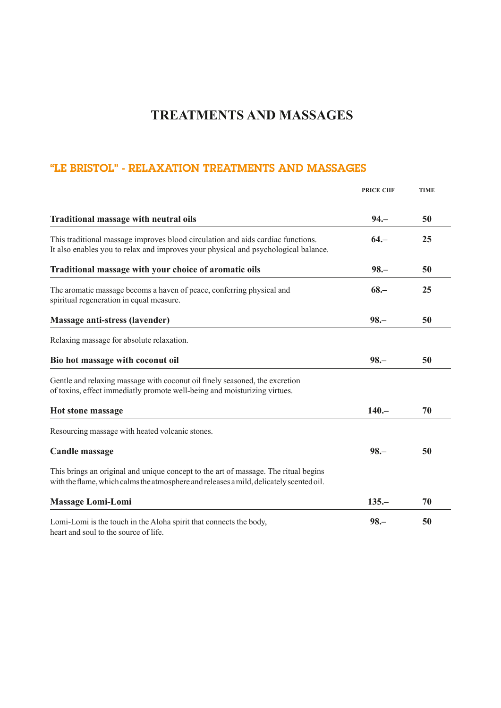# "LE BRISTOL" - RELAXATION TREATMENTS AND MASSAGES

|                                                                                                                                                                                | <b>PRICE CHF</b> | <b>TIME</b> |
|--------------------------------------------------------------------------------------------------------------------------------------------------------------------------------|------------------|-------------|
| <b>Traditional massage with neutral oils</b>                                                                                                                                   | $94 -$           | 50          |
| This traditional massage improves blood circulation and aids cardiac functions.<br>It also enables you to relax and improves your physical and psychological balance.          | $64 -$           | 25          |
| Traditional massage with your choice of aromatic oils                                                                                                                          | $98 -$           | 50          |
| The aromatic massage becoms a haven of peace, conferring physical and<br>spiritual regeneration in equal measure.                                                              | $68 -$           | 25          |
| <b>Massage anti-stress (lavender)</b>                                                                                                                                          | $98 -$           | 50          |
| Relaxing massage for absolute relaxation.                                                                                                                                      |                  |             |
| Bio hot massage with coconut oil                                                                                                                                               | $98 -$           | 50          |
| Gentle and relaxing massage with coconut oil finely seasoned, the excretion<br>of toxins, effect immediatly promote well-being and moisturizing virtues.                       |                  |             |
| <b>Hot stone massage</b>                                                                                                                                                       | $140 -$          | 70          |
| Resourcing massage with heated volcanic stones.                                                                                                                                |                  |             |
| <b>Candle massage</b>                                                                                                                                                          | $98 -$           | 50          |
| This brings an original and unique concept to the art of massage. The ritual begins<br>with the flame, which calms the atmosphere and releases a mild, delicately scented oil. |                  |             |
| <b>Massage Lomi-Lomi</b>                                                                                                                                                       | $135 -$          | 70          |
| Lomi-Lomi is the touch in the Aloha spirit that connects the body,<br>heart and soul to the source of life.                                                                    | $98 -$           | 50          |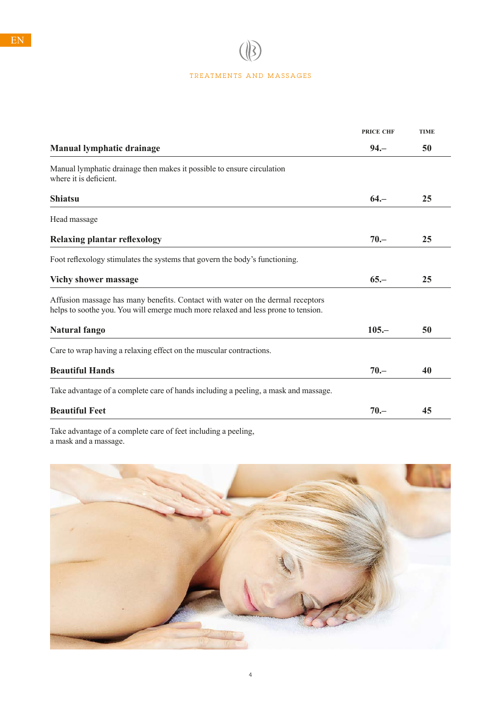$\circledR$ 

| <b>PRICE CHF</b> | <b>TIME</b> |
|------------------|-------------|
| $94 -$           | 50          |
|                  |             |
| $64 -$           | 25          |
|                  |             |
| $70 -$           | 25          |
|                  |             |
| $65 -$           | 25          |
|                  |             |
| $105 -$          | 50          |
|                  |             |
| $70 -$           | 40          |
|                  |             |
| $70 -$           | 45          |
|                  |             |

Take advantage of a complete care of feet including a peeling, a mask and a massage.



4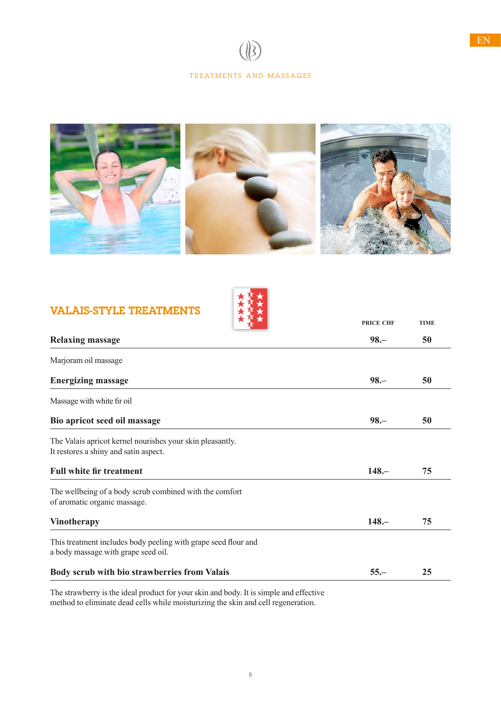

# VALAIS-STYLE TREATMENTS



| ★ ↑ ★                                                                                                 | <b>PRICE CHF</b> | <b>TIME</b> |
|-------------------------------------------------------------------------------------------------------|------------------|-------------|
| <b>Relaxing massage</b>                                                                               | $98 -$           | 50          |
| Marjoram oil massage                                                                                  |                  |             |
| <b>Energizing massage</b>                                                                             | $98 -$           | 50          |
| Massage with white fir oil                                                                            |                  |             |
| Bio apricot seed oil massage                                                                          | $98 -$           | 50          |
| The Valais apricot kernel nourishes your skin pleasantly.<br>It restores a shiny and satin aspect.    |                  |             |
| <b>Full white fir treatment</b>                                                                       | $148 -$          | 75          |
| The wellbeing of a body scrub combined with the comfort<br>of aromatic organic massage.               |                  |             |
| <b>Vinotherapy</b>                                                                                    | $148 -$          | 75          |
| This treatment includes body peeling with grape seed flour and<br>a body massage with grape seed oil. |                  |             |
| Body scrub with bio strawberries from Valais                                                          | $55 -$           | 25          |

The strawberry is the ideal product for your skin and body. It is simple and effective method to eliminate dead cells while moisturizing the skin and cell regeneration.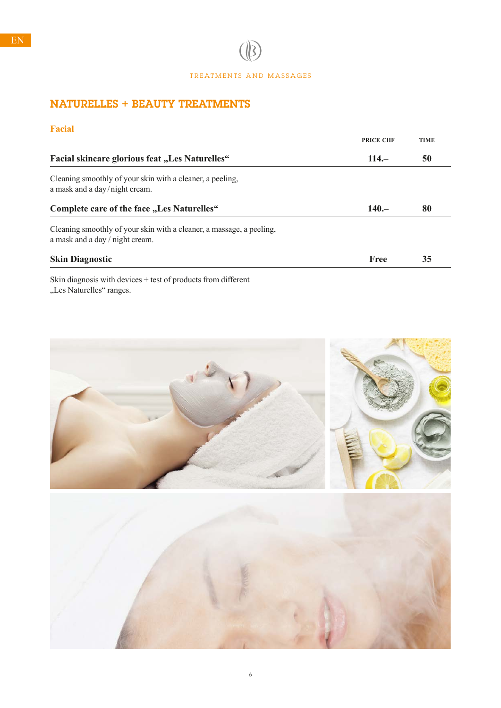$\circledR$ 

# NATURELLES + BEAUTY TREATMENTS

# **Facial**

|                                                                                                         | <b>PRICE CHF</b> | <b>TIME</b> |  |
|---------------------------------------------------------------------------------------------------------|------------------|-------------|--|
| <b>Facial skincare glorious feat "Les Naturelles"</b>                                                   | $114 -$          | 50          |  |
| Cleaning smoothly of your skin with a cleaner, a peeling,<br>a mask and a day/night cream.              |                  |             |  |
| Complete care of the face "Les Naturelles"                                                              | $140 -$          | 80          |  |
| Cleaning smoothly of your skin with a cleaner, a massage, a peeling,<br>a mask and a day / night cream. |                  |             |  |
| <b>Skin Diagnostic</b>                                                                                  | Free             | 35          |  |
| Clair dia sua sais cuithe daoineach baob a Cumadorata Cuana di Canant                                   |                  |             |  |

Skin diagnosis with devices + test of products from different "Les Naturelles" ranges.



6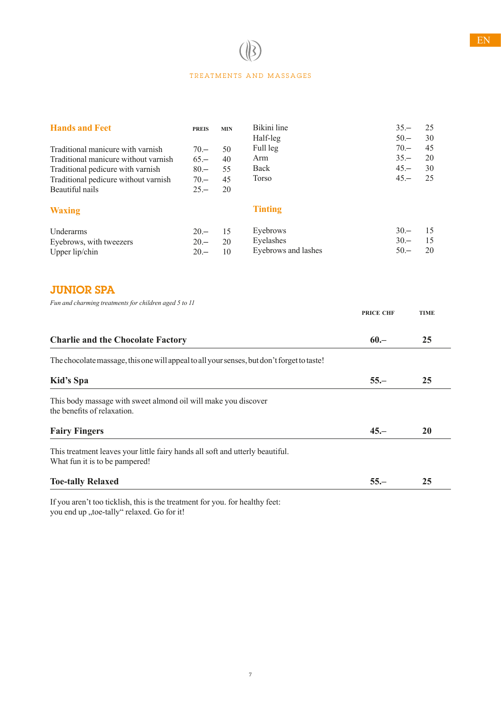| <b>Hands and Feet</b>                | <b>PREIS</b> | <b>MIN</b> | Bikini line         | $35 -$ | 25 |
|--------------------------------------|--------------|------------|---------------------|--------|----|
|                                      |              |            | Half-leg            | $50 -$ | 30 |
| Traditional manicure with varnish    | $70 -$       | 50         | Full leg            | $70 -$ | 45 |
| Traditional manicure without varnish | $65 -$       | 40         | Arm                 | $35 -$ | 20 |
| Traditional pedicure with varnish    | $80 -$       | 55         | Back                | $45 -$ | 30 |
| Traditional pedicure without varnish | $70 -$       | 45         | <b>Torso</b>        | $45 -$ | 25 |
| Beautiful nails                      | $25 -$       | 20         |                     |        |    |
| <b>Waxing</b>                        |              |            | <b>Tinting</b>      |        |    |
| Underarms                            | $20 -$       | 15         | Eyebrows            | $30 -$ | 15 |
| Eyebrows, with tweezers              | $20 -$       | 20         | Eyelashes           | $30 -$ | 15 |
| Upper $lip/chn$                      | $20 -$       | 10         | Eyebrows and lashes | $50 -$ | 20 |

# JUNIOR SPA

*Fun and charming treatments for children aged 5 to 11*

|                                                                                                                 | <b>PRICE CHF</b> | <b>TIME</b> |
|-----------------------------------------------------------------------------------------------------------------|------------------|-------------|
| <b>Charlie and the Chocolate Factory</b>                                                                        | $60 -$           | 25          |
| The chocolate massage, this one will appeal to all your senses, but don't forget to taste!                      |                  |             |
| Kid's Spa                                                                                                       | $55 -$           | 25          |
| This body massage with sweet almond oil will make you discover<br>the benefits of relaxation.                   |                  |             |
| <b>Fairy Fingers</b>                                                                                            | $45 -$           | <b>20</b>   |
| This treatment leaves your little fairy hands all soft and utterly beautiful.<br>What fun it is to be pampered! |                  |             |
| <b>Toe-tally Relaxed</b>                                                                                        | $55 -$           | 25          |

If you aren't too ticklish, this is the treatment for you. for healthy feet: you end up "toe-tally" relaxed. Go for it!